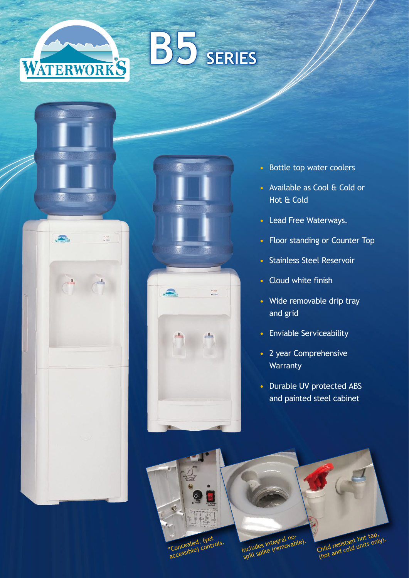# **B5 SERIES**



**WATERWORKS** 



- Bottle top water coolers
- • Available as Cool & Cold or Hot & Cold
- Lead Free Waterways.
- Floor standing or Counter Top
- • Stainless Steel Reservoir
- • Cloud white finish
- Wide removable drip tray and grid
- • Enviable Serviceability
- 2 year Comprehensive **Warranty**
- Durable UV protected ABS and painted steel cabinet



"Concealed, (yet accessible) controls.

Includes integral no-<br>Includes integral no-<br>spill spike (removable).

Child resistant hot tap,<br>(hot and cold units only).